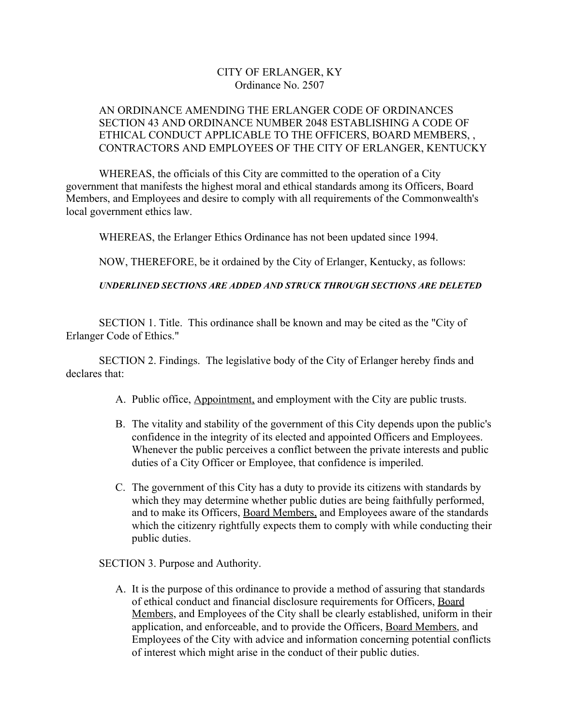### CITY OF ERLANGER, KY Ordinance No. 2507

### AN ORDINANCE AMENDING THE ERLANGER CODE OF ORDINANCES SECTION 43 AND ORDINANCE NUMBER 2048 ESTABLISHING A CODE OF ETHICAL CONDUCT APPLICABLE TO THE OFFICERS, BOARD MEMBERS, , CONTRACTORS AND EMPLOYEES OF THE CITY OF ERLANGER, KENTUCKY

WHEREAS, the officials of this City are committed to the operation of a City government that manifests the highest moral and ethical standards among its Officers, Board Members, and Employees and desire to comply with all requirements of the Commonwealth's local government ethics law.

WHEREAS, the Erlanger Ethics Ordinance has not been updated since 1994.

NOW, THEREFORE, be it ordained by the City of Erlanger, Kentucky, as follows:

#### *UNDERLINED SECTIONS ARE ADDED AND STRUCK THROUGH SECTIONS ARE DELETED*

SECTION 1. Title. This ordinance shall be known and may be cited as the "City of Erlanger Code of Ethics."

SECTION 2. Findings. The legislative body of the City of Erlanger hereby finds and declares that:

- A. Public office, Appointment, and employment with the City are public trusts.
- B. The vitality and stability of the government of this City depends upon the public's confidence in the integrity of its elected and appointed Officers and Employees. Whenever the public perceives a conflict between the private interests and public duties of a City Officer or Employee, that confidence is imperiled.
- C. The government of this City has a duty to provide its citizens with standards by which they may determine whether public duties are being faithfully performed, and to make its Officers, Board Members, and Employees aware of the standards which the citizenry rightfully expects them to comply with while conducting their public duties.

SECTION 3. Purpose and Authority.

A. It is the purpose of this ordinance to provide a method of assuring that standards of ethical conduct and financial disclosure requirements for Officers, Board Members, and Employees of the City shall be clearly established, uniform in their application, and enforceable, and to provide the Officers, Board Members, and Employees of the City with advice and information concerning potential conflicts of interest which might arise in the conduct of their public duties.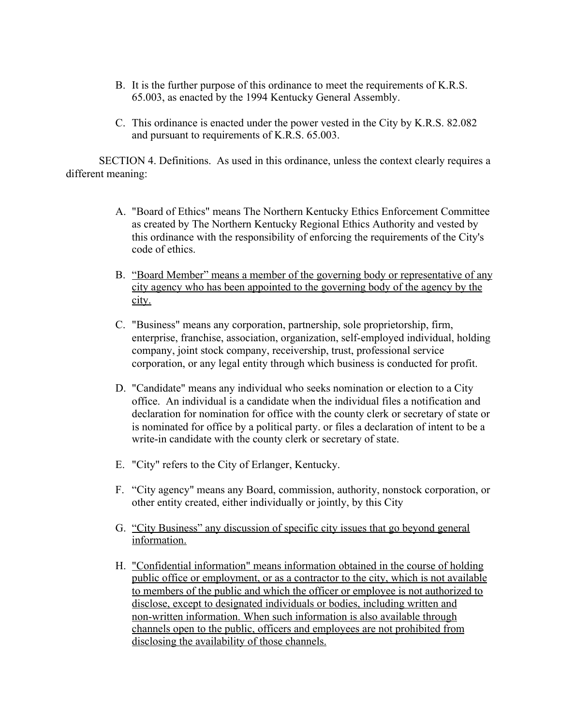- B. It is the further purpose of this ordinance to meet the requirements of K.R.S. 65.003, as enacted by the 1994 Kentucky General Assembly.
- C. This ordinance is enacted under the power vested in the City by K.R.S. 82.082 and pursuant to requirements of K.R.S. 65.003.

SECTION 4. Definitions. As used in this ordinance, unless the context clearly requires a different meaning:

- A. "Board of Ethics" means The Northern Kentucky Ethics Enforcement Committee as created by The Northern Kentucky Regional Ethics Authority and vested by this ordinance with the responsibility of enforcing the requirements of the City's code of ethics.
- B. "Board Member" means a member of the governing body or representative of any city agency who has been appointed to the governing body of the agency by the city.
- C. "Business" means any corporation, partnership, sole proprietorship, firm, enterprise, franchise, association, organization, self-employed individual, holding company, joint stock company, receivership, trust, professional service corporation, or any legal entity through which business is conducted for profit.
- D. "Candidate" means any individual who seeks nomination or election to a City office. An individual is a candidate when the individual files a notification and declaration for nomination for office with the county clerk or secretary of state or is nominated for office by a political party. or files a declaration of intent to be a write-in candidate with the county clerk or secretary of state.
- E. "City" refers to the City of Erlanger, Kentucky.
- F. "City agency" means any Board, commission, authority, nonstock corporation, or other entity created, either individually or jointly, by this City
- G. "City Business" any discussion of specific city issues that go beyond general information.
- H. "Confidential information" means information obtained in the course of holding public office or employment, or as a contractor to the city, which is not available to members of the public and which the [officer or employee](http://www.cityethics.org/content/full-text-model-ethics-code#0.1_TOC109) is not authorized to disclose, except to designated individuals or bodies, including written and non-written information. When such information is also available through channels open to the public, [officers and employees](http://www.cityethics.org/content/full-text-model-ethics-code#0.1_TOC109) are not prohibited from disclosing the availability of those channels.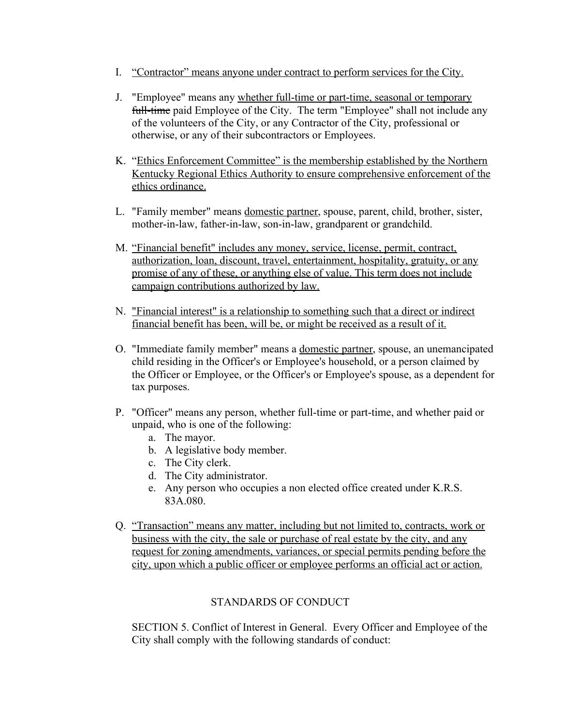- I. "Contractor" means anyone under contract to perform services for the City.
- J. "Employee" means any whether full-time or part-time, seasonal or temporary full-time paid Employee of the City. The term "Employee" shall not include any of the volunteers of the City, or any Contractor of the City, professional or otherwise, or any of their subcontractors or Employees.
- K. "Ethics Enforcement Committee" is the membership established by the Northern Kentucky Regional Ethics Authority to ensure comprehensive enforcement of the ethics ordinance.
- L. "Family member" means domestic partner, spouse, parent, child, brother, sister, mother-in-law, father-in-law, son-in-law, grandparent or grandchild.
- M. "Financial benefit" includes any money, service, license, permit, contract, authorization, loan, discount, travel, entertainment, hospitality, gratuity, or any promise of any of these, or anything else of value. This term does not include campaign contributions authorized by law.
- N. "Financial interest" is a relationship to something such that a direct or indirect financial benefit has been, will be, or might be received as a result of it.
- O. "Immediate family member" means a domestic partner, spouse, an unemancipated child residing in the Officer's or Employee's household, or a person claimed by the Officer or Employee, or the Officer's or Employee's spouse, as a dependent for tax purposes.
- P. "Officer" means any person, whether full-time or part-time, and whether paid or unpaid, who is one of the following:
	- a. The mayor.
	- b. A legislative body member.
	- c. The City clerk.
	- d. The City administrator.
	- e. Any person who occupies a non elected office created under K.R.S. 83A.080.
- Q. "Transaction" means any matter, including but not limited to, contracts, work or business with the city, the sale or purchase of real estate by the city, and any request for zoning amendments, variances, or special permits pending before the city, upon which a public officer or employee performs an official act or action.

# STANDARDS OF CONDUCT

SECTION 5. Conflict of Interest in General. Every Officer and Employee of the City shall comply with the following standards of conduct: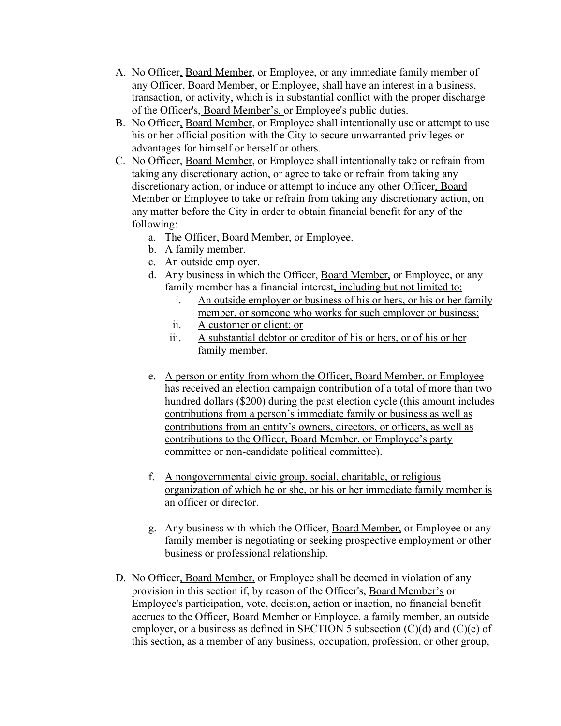- A. No Officer, Board Member, or Employee, or any immediate family member of any Officer, Board Member, or Employee, shall have an interest in a business, transaction, or activity, which is in substantial conflict with the proper discharge of the Officer's, Board Member's, or Employee's public duties.
- B. No Officer, Board Member, or Employee shall intentionally use or attempt to use his or her official position with the City to secure unwarranted privileges or advantages for himself or herself or others.
- C. No Officer, Board Member, or Employee shall intentionally take or refrain from taking any discretionary action, or agree to take or refrain from taking any discretionary action, or induce or attempt to induce any other Officer, Board Member or Employee to take or refrain from taking any discretionary action, on any matter before the City in order to obtain financial benefit for any of the following:
	- a. The Officer, Board Member, or Employee.
	- b. A family member.
	- c. An outside employer.
	- d. Any business in which the Officer, Board Member, or Employee, or any family member has a financial interest, including but not limited to:
		- i. An outside employer or business of his or hers, or his or her family member, or someone who works for such employer or business;
		- ii. A customer or client; or
		- iii. A substantial debtor or creditor of his or hers, or of his or her family member.
	- e. A person or entity from whom the Officer, Board Member, or Employee has received an election campaign contribution of a total of more than two hundred dollars (\$200) during the past election cycle (this amount includes contributions from a person's immediate family or business as well as contributions from an entity's owners, directors, or officers, as well as contributions to the Officer, Board Member, or Employee's party committee or non-candidate political committee).
	- f. A nongovernmental civic group, social, charitable, or religious organization of which he or she, or his or her immediate family member is an officer or director.
	- g. Any business with which the Officer, Board Member, or Employee or any family member is negotiating or seeking prospective employment or other business or professional relationship.
- D. No Officer, Board Member, or Employee shall be deemed in violation of any provision in this section if, by reason of the Officer's, Board Member's or Employee's participation, vote, decision, action or inaction, no financial benefit accrues to the Officer, Board Member or Employee, a family member, an outside employer, or a business as defined in SECTION 5 subsection  $(C)(d)$  and  $(C)(e)$  of this section, as a member of any business, occupation, profession, or other group,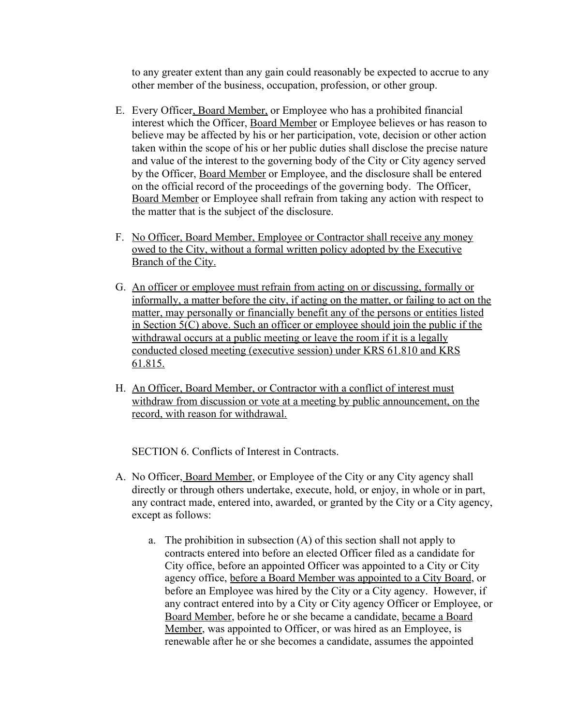to any greater extent than any gain could reasonably be expected to accrue to any other member of the business, occupation, profession, or other group.

- E. Every Officer, Board Member, or Employee who has a prohibited financial interest which the Officer, Board Member or Employee believes or has reason to believe may be affected by his or her participation, vote, decision or other action taken within the scope of his or her public duties shall disclose the precise nature and value of the interest to the governing body of the City or City agency served by the Officer, Board Member or Employee, and the disclosure shall be entered on the official record of the proceedings of the governing body. The Officer, Board Member or Employee shall refrain from taking any action with respect to the matter that is the subject of the disclosure.
- F. No Officer, Board Member, Employee or Contractor shall receive any money owed to the City, without a formal written policy adopted by the Executive Branch of the City.
- G. An [officer or employee](http://www.cityethics.org/content/full-text-model-ethics-code#0.1_TOC109) must refrain from acting on or discussing, formally or informally, a matter before the city, if acting on the matter, or failing to act on the matter, may [personally](http://www.cityethics.org/content/full-text-model-ethics-code#0.1_TOC111) or [financially benefit](http://www.cityethics.org/content/full-text-model-ethics-code#0.1_TOC104) any of the persons or entities listed in Section 5(C) above. Such an officer or employee should join the public if the withdrawal occurs at a public meeting or leave the room if it is a legally conducted closed meeting (executive session) under KRS 61.810 and KRS 61.815.
- H. An Officer, Board Member, or Contractor with a conflict of interest must withdraw from discussion or vote at a meeting by public announcement, on the record, with reason for withdrawal.

SECTION 6. Conflicts of Interest in Contracts.

- A. No Officer, Board Member, or Employee of the City or any City agency shall directly or through others undertake, execute, hold, or enjoy, in whole or in part, any contract made, entered into, awarded, or granted by the City or a City agency, except as follows:
	- a. The prohibition in subsection (A) of this section shall not apply to contracts entered into before an elected Officer filed as a candidate for City office, before an appointed Officer was appointed to a City or City agency office, before a Board Member was appointed to a City Board, or before an Employee was hired by the City or a City agency. However, if any contract entered into by a City or City agency Officer or Employee, or Board Member, before he or she became a candidate, became a Board Member, was appointed to Officer, or was hired as an Employee, is renewable after he or she becomes a candidate, assumes the appointed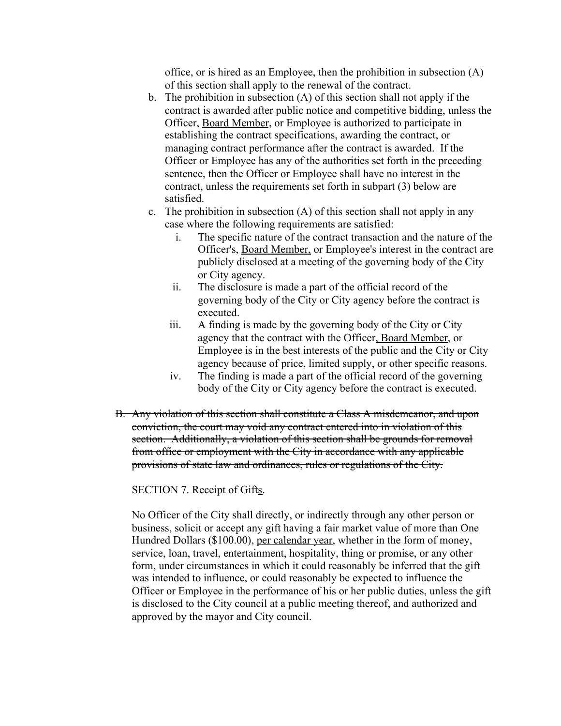office, or is hired as an Employee, then the prohibition in subsection (A) of this section shall apply to the renewal of the contract.

- b. The prohibition in subsection (A) of this section shall not apply if the contract is awarded after public notice and competitive bidding, unless the Officer, Board Member, or Employee is authorized to participate in establishing the contract specifications, awarding the contract, or managing contract performance after the contract is awarded. If the Officer or Employee has any of the authorities set forth in the preceding sentence, then the Officer or Employee shall have no interest in the contract, unless the requirements set forth in subpart (3) below are satisfied.
- c. The prohibition in subsection (A) of this section shall not apply in any case where the following requirements are satisfied:
	- i. The specific nature of the contract transaction and the nature of the Officer's, Board Member, or Employee's interest in the contract are publicly disclosed at a meeting of the governing body of the City or City agency.
	- ii. The disclosure is made a part of the official record of the governing body of the City or City agency before the contract is executed.
	- iii. A finding is made by the governing body of the City or City agency that the contract with the Officer, Board Member, or Employee is in the best interests of the public and the City or City agency because of price, limited supply, or other specific reasons.
	- iv. The finding is made a part of the official record of the governing body of the City or City agency before the contract is executed.
- B. Any violation of this section shall constitute a Class A misdemeanor, and upon conviction, the court may void any contract entered into in violation of this section. Additionally, a violation of this section shall be grounds for removal from office or employment with the City in accordance with any applicable provisions of state law and ordinances, rules or regulations of the City.

SECTION 7. Receipt of Gifts.

No Officer of the City shall directly, or indirectly through any other person or business, solicit or accept any gift having a fair market value of more than One Hundred Dollars (\$100.00), per calendar year, whether in the form of money, service, loan, travel, entertainment, hospitality, thing or promise, or any other form, under circumstances in which it could reasonably be inferred that the gift was intended to influence, or could reasonably be expected to influence the Officer or Employee in the performance of his or her public duties, unless the gift is disclosed to the City council at a public meeting thereof, and authorized and approved by the mayor and City council.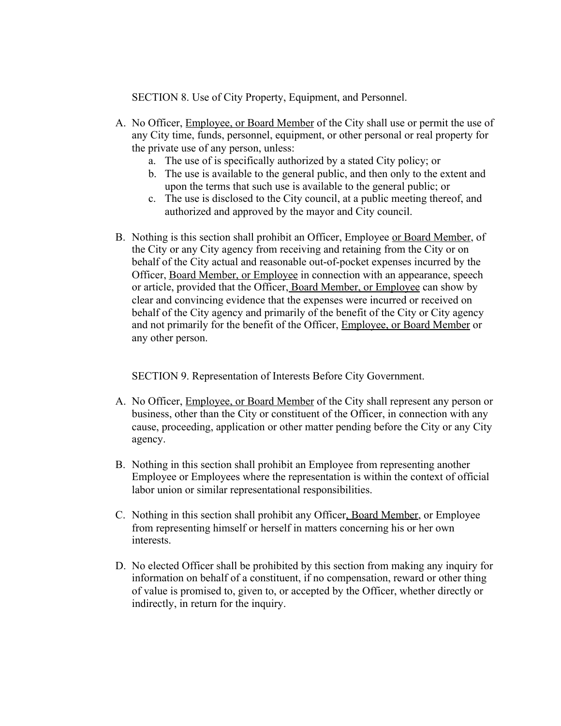SECTION 8. Use of City Property, Equipment, and Personnel.

- A. No Officer, Employee, or Board Member of the City shall use or permit the use of any City time, funds, personnel, equipment, or other personal or real property for the private use of any person, unless:
	- a. The use of is specifically authorized by a stated City policy; or
	- b. The use is available to the general public, and then only to the extent and upon the terms that such use is available to the general public; or
	- c. The use is disclosed to the City council, at a public meeting thereof, and authorized and approved by the mayor and City council.
- B. Nothing is this section shall prohibit an Officer, Employee or Board Member, of the City or any City agency from receiving and retaining from the City or on behalf of the City actual and reasonable out-of-pocket expenses incurred by the Officer, Board Member, or Employee in connection with an appearance, speech or article, provided that the Officer, Board Member, or Employee can show by clear and convincing evidence that the expenses were incurred or received on behalf of the City agency and primarily of the benefit of the City or City agency and not primarily for the benefit of the Officer, Employee, or Board Member or any other person.

SECTION 9. Representation of Interests Before City Government.

- A. No Officer, Employee, or Board Member of the City shall represent any person or business, other than the City or constituent of the Officer, in connection with any cause, proceeding, application or other matter pending before the City or any City agency.
- B. Nothing in this section shall prohibit an Employee from representing another Employee or Employees where the representation is within the context of official labor union or similar representational responsibilities.
- C. Nothing in this section shall prohibit any Officer, Board Member, or Employee from representing himself or herself in matters concerning his or her own interests.
- D. No elected Officer shall be prohibited by this section from making any inquiry for information on behalf of a constituent, if no compensation, reward or other thing of value is promised to, given to, or accepted by the Officer, whether directly or indirectly, in return for the inquiry.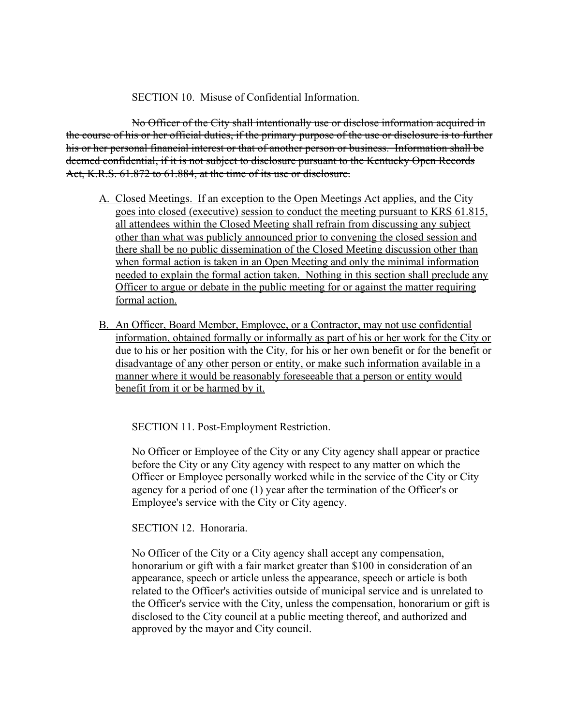SECTION 10. Misuse of Confidential Information.

No Officer of the City shall intentionally use or disclose information acquired in the course of his or her official duties, if the primary purpose of the use or disclosure is to further his or her personal financial interest or that of another person or business. Information shall be deemed confidential, if it is not subject to disclosure pursuant to the Kentucky Open Records Act, K.R.S. 61.872 to 61.884, at the time of its use or disclosure.

- A. Closed Meetings. If an exception to the Open Meetings Act applies, and the City goes into closed (executive) session to conduct the meeting pursuant to KRS 61.815, all attendees within the Closed Meeting shall refrain from discussing any subject other than what was publicly announced prior to convening the closed session and there shall be no public dissemination of the Closed Meeting discussion other than when formal action is taken in an Open Meeting and only the minimal information needed to explain the formal action taken. Nothing in this section shall preclude any Officer to argue or debate in the public meeting for or against the matter requiring formal action.
- B. An Officer, Board Member, Employee, or a Contractor, may not use confidential information, obtained formally or informally as part of his or her work for the City or due to his or her position with the City, for his or her own benefit or for the benefit or disadvantage of any other person or entity, or make such information available in a manner where it would be reasonably foreseeable that a person or entity would benefit from it or be harmed by it.

SECTION 11. Post-Employment Restriction.

No Officer or Employee of the City or any City agency shall appear or practice before the City or any City agency with respect to any matter on which the Officer or Employee personally worked while in the service of the City or City agency for a period of one (1) year after the termination of the Officer's or Employee's service with the City or City agency.

SECTION 12. Honoraria.

No Officer of the City or a City agency shall accept any compensation, honorarium or gift with a fair market greater than \$100 in consideration of an appearance, speech or article unless the appearance, speech or article is both related to the Officer's activities outside of municipal service and is unrelated to the Officer's service with the City, unless the compensation, honorarium or gift is disclosed to the City council at a public meeting thereof, and authorized and approved by the mayor and City council.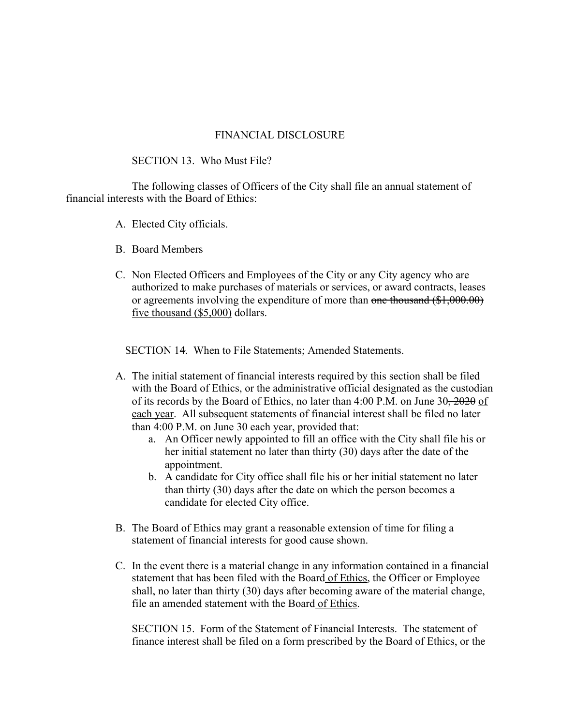#### FINANCIAL DISCLOSURE

#### SECTION 13. Who Must File?

The following classes of Officers of the City shall file an annual statement of financial interests with the Board of Ethics:

- A. Elected City officials.
- B. Board Members
- C. Non Elected Officers and Employees of the City or any City agency who are authorized to make purchases of materials or services, or award contracts, leases or agreements involving the expenditure of more than one thousand (\$1,000.00) five thousand (\$5,000) dollars.

SECTION 14. When to File Statements; Amended Statements.

- A. The initial statement of financial interests required by this section shall be filed with the Board of Ethics, or the administrative official designated as the custodian of its records by the Board of Ethics, no later than 4:00 P.M. on June 30, 2020 of each year. All subsequent statements of financial interest shall be filed no later than 4:00 P.M. on June 30 each year, provided that:
	- a. An Officer newly appointed to fill an office with the City shall file his or her initial statement no later than thirty (30) days after the date of the appointment.
	- b. A candidate for City office shall file his or her initial statement no later than thirty (30) days after the date on which the person becomes a candidate for elected City office.
- B. The Board of Ethics may grant a reasonable extension of time for filing a statement of financial interests for good cause shown.
- C. In the event there is a material change in any information contained in a financial statement that has been filed with the Board of Ethics, the Officer or Employee shall, no later than thirty (30) days after becoming aware of the material change, file an amended statement with the Board of Ethics.

SECTION 15. Form of the Statement of Financial Interests. The statement of finance interest shall be filed on a form prescribed by the Board of Ethics, or the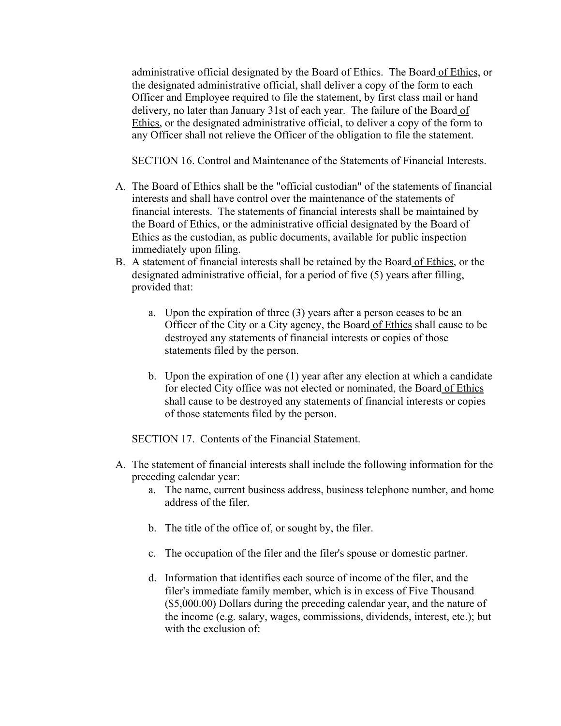administrative official designated by the Board of Ethics. The Board of Ethics, or the designated administrative official, shall deliver a copy of the form to each Officer and Employee required to file the statement, by first class mail or hand delivery, no later than January 31st of each year. The failure of the Board of Ethics, or the designated administrative official, to deliver a copy of the form to any Officer shall not relieve the Officer of the obligation to file the statement.

SECTION 16. Control and Maintenance of the Statements of Financial Interests.

- A. The Board of Ethics shall be the "official custodian" of the statements of financial interests and shall have control over the maintenance of the statements of financial interests. The statements of financial interests shall be maintained by the Board of Ethics, or the administrative official designated by the Board of Ethics as the custodian, as public documents, available for public inspection immediately upon filing.
- B. A statement of financial interests shall be retained by the Board of Ethics, or the designated administrative official, for a period of five (5) years after filling, provided that:
	- a. Upon the expiration of three (3) years after a person ceases to be an Officer of the City or a City agency, the Board of Ethics shall cause to be destroyed any statements of financial interests or copies of those statements filed by the person.
	- b. Upon the expiration of one (1) year after any election at which a candidate for elected City office was not elected or nominated, the Board of Ethics shall cause to be destroyed any statements of financial interests or copies of those statements filed by the person.

SECTION 17. Contents of the Financial Statement.

- A. The statement of financial interests shall include the following information for the preceding calendar year:
	- a. The name, current business address, business telephone number, and home address of the filer.
	- b. The title of the office of, or sought by, the filer.
	- c. The occupation of the filer and the filer's spouse or domestic partner.
	- d. Information that identifies each source of income of the filer, and the filer's immediate family member, which is in excess of Five Thousand (\$5,000.00) Dollars during the preceding calendar year, and the nature of the income (e.g. salary, wages, commissions, dividends, interest, etc.); but with the exclusion of: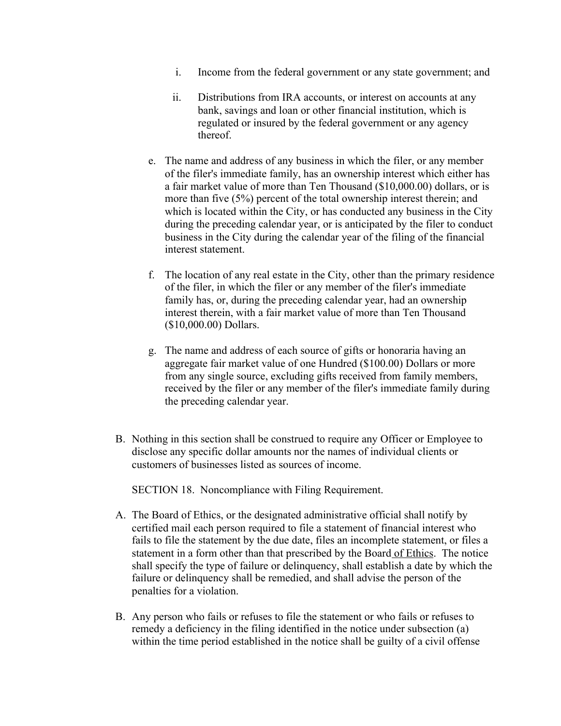- i. Income from the federal government or any state government; and
- ii. Distributions from IRA accounts, or interest on accounts at any bank, savings and loan or other financial institution, which is regulated or insured by the federal government or any agency thereof.
- e. The name and address of any business in which the filer, or any member of the filer's immediate family, has an ownership interest which either has a fair market value of more than Ten Thousand (\$10,000.00) dollars, or is more than five (5%) percent of the total ownership interest therein; and which is located within the City, or has conducted any business in the City during the preceding calendar year, or is anticipated by the filer to conduct business in the City during the calendar year of the filing of the financial interest statement.
- f. The location of any real estate in the City, other than the primary residence of the filer, in which the filer or any member of the filer's immediate family has, or, during the preceding calendar year, had an ownership interest therein, with a fair market value of more than Ten Thousand (\$10,000.00) Dollars.
- g. The name and address of each source of gifts or honoraria having an aggregate fair market value of one Hundred (\$100.00) Dollars or more from any single source, excluding gifts received from family members, received by the filer or any member of the filer's immediate family during the preceding calendar year.
- B. Nothing in this section shall be construed to require any Officer or Employee to disclose any specific dollar amounts nor the names of individual clients or customers of businesses listed as sources of income.

SECTION 18. Noncompliance with Filing Requirement.

- A. The Board of Ethics, or the designated administrative official shall notify by certified mail each person required to file a statement of financial interest who fails to file the statement by the due date, files an incomplete statement, or files a statement in a form other than that prescribed by the Board of Ethics. The notice shall specify the type of failure or delinquency, shall establish a date by which the failure or delinquency shall be remedied, and shall advise the person of the penalties for a violation.
- B. Any person who fails or refuses to file the statement or who fails or refuses to remedy a deficiency in the filing identified in the notice under subsection (a) within the time period established in the notice shall be guilty of a civil offense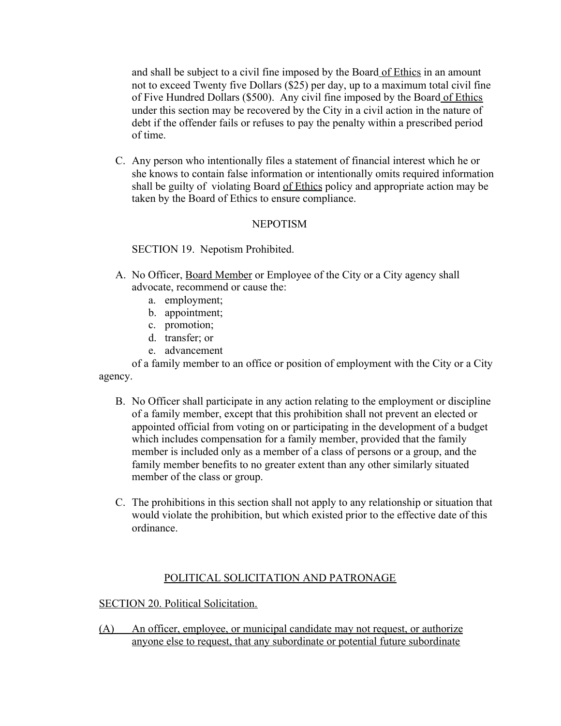and shall be subject to a civil fine imposed by the Board of Ethics in an amount not to exceed Twenty five Dollars (\$25) per day, up to a maximum total civil fine of Five Hundred Dollars (\$500). Any civil fine imposed by the Board of Ethics under this section may be recovered by the City in a civil action in the nature of debt if the offender fails or refuses to pay the penalty within a prescribed period of time.

C. Any person who intentionally files a statement of financial interest which he or she knows to contain false information or intentionally omits required information shall be guilty of violating Board of Ethics policy and appropriate action may be taken by the Board of Ethics to ensure compliance.

### NEPOTISM

SECTION 19. Nepotism Prohibited.

- A. No Officer, Board Member or Employee of the City or a City agency shall advocate, recommend or cause the:
	- a. employment;
	- b. appointment;
	- c. promotion;
	- d. transfer; or
	- e. advancement

of a family member to an office or position of employment with the City or a City agency.

- B. No Officer shall participate in any action relating to the employment or discipline of a family member, except that this prohibition shall not prevent an elected or appointed official from voting on or participating in the development of a budget which includes compensation for a family member, provided that the family member is included only as a member of a class of persons or a group, and the family member benefits to no greater extent than any other similarly situated member of the class or group.
- C. The prohibitions in this section shall not apply to any relationship or situation that would violate the prohibition, but which existed prior to the effective date of this ordinance.

### POLITICAL SOLICITATION AND PATRONAGE

SECTION 20. Political Solicitation.

(A) An officer, employee, or municipal candidate may not request, or authorize anyone else to request, that any [subordinate](http://www.cityethics.org/content/full-text-model-ethics-code#0.1_TOC113) or potential future subordinate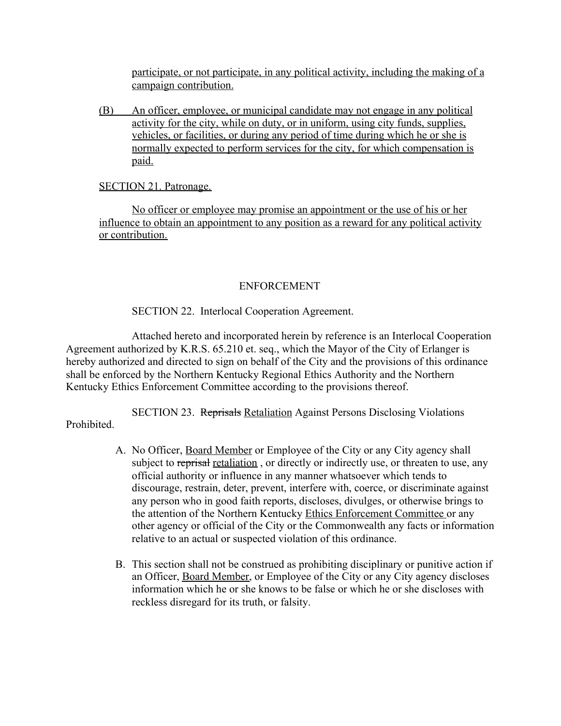participate, or not participate, in any political activity, including the making of a campaign contribution.

(B) An officer, employee, or municipal candidate may not engage in any political activity for the city, while on duty, or in uniform, using city funds, supplies, vehicles, or facilities, or during any period of time during which he or she is normally expected to perform services for the city, for which compensation is paid.

# SECTION 21. Patronage.

No [officer or employee](http://www.cityethics.org/content/full-text-model-ethics-code#0.1_TOC109) may promise an appointment or the use of his or her influence to obtain an appointment to any position as a reward for any political activity or contribution.

# ENFORCEMENT

SECTION 22. Interlocal Cooperation Agreement.

Attached hereto and incorporated herein by reference is an Interlocal Cooperation Agreement authorized by K.R.S. 65.210 et. seq., which the Mayor of the City of Erlanger is hereby authorized and directed to sign on behalf of the City and the provisions of this ordinance shall be enforced by the Northern Kentucky Regional Ethics Authority and the Northern Kentucky Ethics Enforcement Committee according to the provisions thereof.

SECTION 23. Reprisals Retaliation Against Persons Disclosing Violations Prohibited.

- A. No Officer, Board Member or Employee of the City or any City agency shall subject to reprisal retaliation, or directly or indirectly use, or threaten to use, any official authority or influence in any manner whatsoever which tends to discourage, restrain, deter, prevent, interfere with, coerce, or discriminate against any person who in good faith reports, discloses, divulges, or otherwise brings to the attention of the Northern Kentucky Ethics Enforcement Committee or any other agency or official of the City or the Commonwealth any facts or information relative to an actual or suspected violation of this ordinance.
- B. This section shall not be construed as prohibiting disciplinary or punitive action if an Officer, Board Member, or Employee of the City or any City agency discloses information which he or she knows to be false or which he or she discloses with reckless disregard for its truth, or falsity.